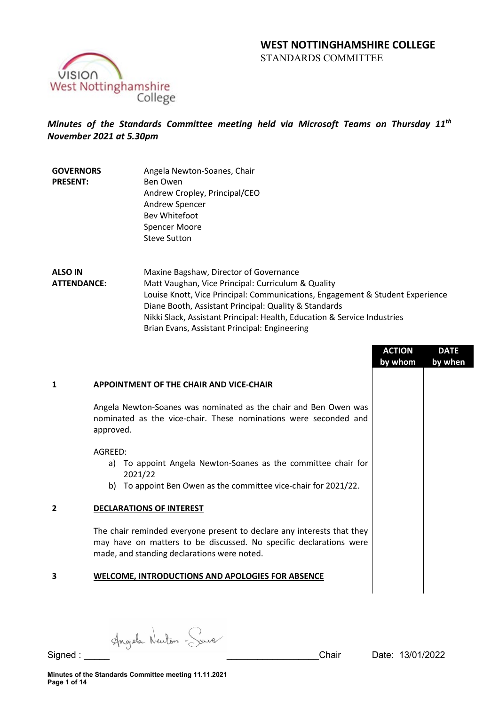# **WEST NOTTINGHAMSHIRE COLLEGE**  STANDARDS COMMITTEE



# *Minutes of the Standards Committee meeting held via Microsoft Teams on Thursday 11th November 2021 at 5.30pm*

**GOVERNORS PRESENT:** Angela Newton-Soanes, Chair Ben Owen Andrew Cropley, Principal/CEO Andrew Spencer Bev Whitefoot Spencer Moore Steve Sutton

**ALSO IN ATTENDANCE:** Maxine Bagshaw, Director of Governance Matt Vaughan, Vice Principal: Curriculum & Quality Louise Knott, Vice Principal: Communications, Engagement & Student Experience Diane Booth, Assistant Principal: Quality & Standards Nikki Slack, Assistant Principal: Health, Education & Service Industries Brian Evans, Assistant Principal: Engineering

|   |                                                                                                                                                                                             | <b>ACTION</b> | <b>DATE</b> |
|---|---------------------------------------------------------------------------------------------------------------------------------------------------------------------------------------------|---------------|-------------|
|   |                                                                                                                                                                                             | by whom       | by when     |
| 1 | <b>APPOINTMENT OF THE CHAIR AND VICE-CHAIR</b>                                                                                                                                              |               |             |
|   | Angela Newton-Soanes was nominated as the chair and Ben Owen was<br>nominated as the vice-chair. These nominations were seconded and<br>approved.                                           |               |             |
|   | AGREED:<br>a) To appoint Angela Newton-Soanes as the committee chair for                                                                                                                    |               |             |
|   | 2021/22<br>b) To appoint Ben Owen as the committee vice-chair for 2021/22.                                                                                                                  |               |             |
| 2 | <b>DECLARATIONS OF INTEREST</b>                                                                                                                                                             |               |             |
|   | The chair reminded everyone present to declare any interests that they<br>may have on matters to be discussed. No specific declarations were<br>made, and standing declarations were noted. |               |             |
| 3 | <b>WELCOME, INTRODUCTIONS AND APOLOGIES FOR ABSENCE</b>                                                                                                                                     |               |             |
|   |                                                                                                                                                                                             |               |             |

Angele Newton - Save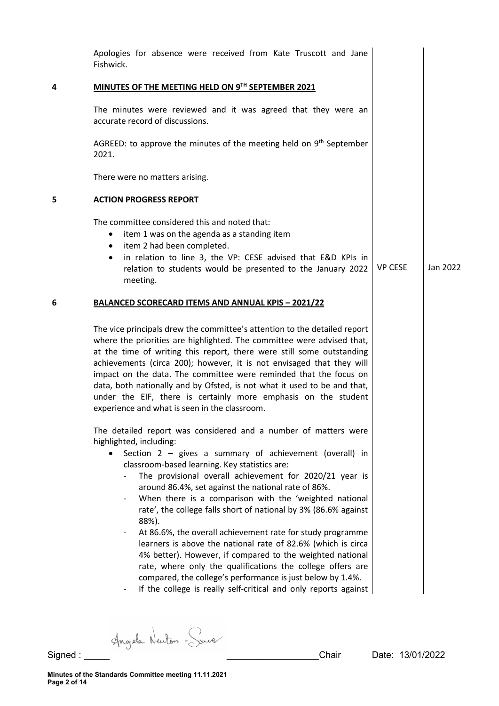| Fishwick.                           | Apologies for absence were received from Kate Truscott and Jane                                                                                                                                                                                                                                                                                                                                                                                                                                                                                                                                                                                                                                                                                                                                                                                                                        |                |          |
|-------------------------------------|----------------------------------------------------------------------------------------------------------------------------------------------------------------------------------------------------------------------------------------------------------------------------------------------------------------------------------------------------------------------------------------------------------------------------------------------------------------------------------------------------------------------------------------------------------------------------------------------------------------------------------------------------------------------------------------------------------------------------------------------------------------------------------------------------------------------------------------------------------------------------------------|----------------|----------|
|                                     | MINUTES OF THE MEETING HELD ON 9TH SEPTEMBER 2021                                                                                                                                                                                                                                                                                                                                                                                                                                                                                                                                                                                                                                                                                                                                                                                                                                      |                |          |
|                                     | The minutes were reviewed and it was agreed that they were an<br>accurate record of discussions.                                                                                                                                                                                                                                                                                                                                                                                                                                                                                                                                                                                                                                                                                                                                                                                       |                |          |
| 2021.                               | AGREED: to approve the minutes of the meeting held on $9th$ September                                                                                                                                                                                                                                                                                                                                                                                                                                                                                                                                                                                                                                                                                                                                                                                                                  |                |          |
|                                     | There were no matters arising.                                                                                                                                                                                                                                                                                                                                                                                                                                                                                                                                                                                                                                                                                                                                                                                                                                                         |                |          |
|                                     | <b>ACTION PROGRESS REPORT</b>                                                                                                                                                                                                                                                                                                                                                                                                                                                                                                                                                                                                                                                                                                                                                                                                                                                          |                |          |
| $\bullet$<br>$\bullet$<br>$\bullet$ | The committee considered this and noted that:<br>item 1 was on the agenda as a standing item<br>item 2 had been completed.<br>in relation to line 3, the VP: CESE advised that E&D KPIs in<br>relation to students would be presented to the January 2022<br>meeting.                                                                                                                                                                                                                                                                                                                                                                                                                                                                                                                                                                                                                  | <b>VP CESE</b> | Jan 2022 |
|                                     | <b>BALANCED SCORECARD ITEMS AND ANNUAL KPIS - 2021/22</b>                                                                                                                                                                                                                                                                                                                                                                                                                                                                                                                                                                                                                                                                                                                                                                                                                              |                |          |
|                                     | The vice principals drew the committee's attention to the detailed report<br>where the priorities are highlighted. The committee were advised that,<br>at the time of writing this report, there were still some outstanding<br>achievements (circa 200); however, it is not envisaged that they will<br>impact on the data. The committee were reminded that the focus on<br>data, both nationally and by Ofsted, is not what it used to be and that,<br>under the EIF, there is certainly more emphasis on the student<br>experience and what is seen in the classroom.                                                                                                                                                                                                                                                                                                              |                |          |
|                                     | The detailed report was considered and a number of matters were<br>highlighted, including:<br>Section $2$ – gives a summary of achievement (overall) in<br>classroom-based learning. Key statistics are:<br>The provisional overall achievement for 2020/21 year is<br>around 86.4%, set against the national rate of 86%.<br>When there is a comparison with the 'weighted national<br>rate', the college falls short of national by 3% (86.6% against<br>88%).<br>At 86.6%, the overall achievement rate for study programme<br>$\overline{\phantom{a}}$<br>learners is above the national rate of 82.6% (which is circa<br>4% better). However, if compared to the weighted national<br>rate, where only the qualifications the college offers are<br>compared, the college's performance is just below by 1.4%.<br>If the college is really self-critical and only reports against |                |          |

Signed : Angele Newton - Source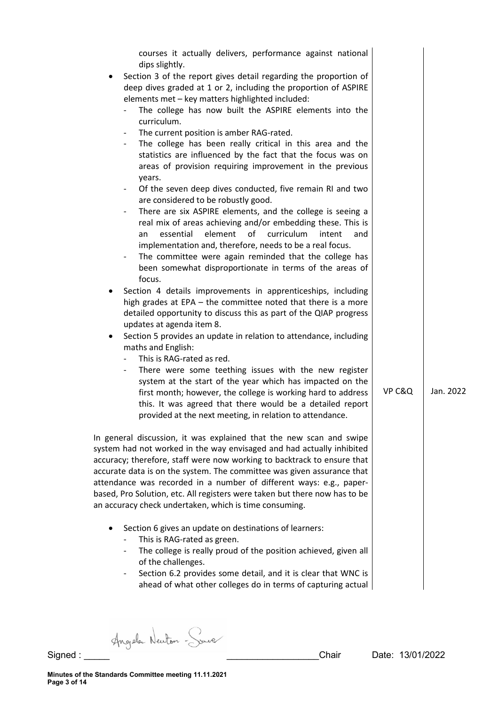| courses it actually delivers, performance against national<br>dips slightly.<br>Section 3 of the report gives detail regarding the proportion of<br>٠<br>deep dives graded at 1 or 2, including the proportion of ASPIRE<br>elements met - key matters highlighted included:<br>The college has now built the ASPIRE elements into the<br>curriculum.<br>The current position is amber RAG-rated.<br>$\overline{\phantom{a}}$<br>The college has been really critical in this area and the<br>statistics are influenced by the fact that the focus was on<br>areas of provision requiring improvement in the previous<br>years.<br>Of the seven deep dives conducted, five remain RI and two<br>$\overline{\phantom{a}}$<br>are considered to be robustly good.<br>There are six ASPIRE elements, and the college is seeing a<br>$\overline{\phantom{0}}$<br>real mix of areas achieving and/or embedding these. This is<br>element<br>of<br>curriculum<br>essential<br>intent<br>and<br>an<br>implementation and, therefore, needs to be a real focus.<br>The committee were again reminded that the college has<br>been somewhat disproportionate in terms of the areas of<br>focus.<br>Section 4 details improvements in apprenticeships, including<br>٠<br>high grades at EPA - the committee noted that there is a more<br>detailed opportunity to discuss this as part of the QIAP progress<br>updates at agenda item 8.<br>Section 5 provides an update in relation to attendance, including<br>٠<br>maths and English:<br>This is RAG-rated as red.<br>There were some teething issues with the new register<br>system at the start of the year which has impacted on the<br>first month; however, the college is working hard to address<br>this. It was agreed that there would be a detailed report<br>provided at the next meeting, in relation to attendance. | VP C&Q | Jan. 2022 |
|----------------------------------------------------------------------------------------------------------------------------------------------------------------------------------------------------------------------------------------------------------------------------------------------------------------------------------------------------------------------------------------------------------------------------------------------------------------------------------------------------------------------------------------------------------------------------------------------------------------------------------------------------------------------------------------------------------------------------------------------------------------------------------------------------------------------------------------------------------------------------------------------------------------------------------------------------------------------------------------------------------------------------------------------------------------------------------------------------------------------------------------------------------------------------------------------------------------------------------------------------------------------------------------------------------------------------------------------------------------------------------------------------------------------------------------------------------------------------------------------------------------------------------------------------------------------------------------------------------------------------------------------------------------------------------------------------------------------------------------------------------------------------------------------------------------------------------------------------------------------------|--------|-----------|
| In general discussion, it was explained that the new scan and swipe<br>system had not worked in the way envisaged and had actually inhibited<br>accuracy; therefore, staff were now working to backtrack to ensure that<br>accurate data is on the system. The committee was given assurance that<br>attendance was recorded in a number of different ways: e.g., paper-<br>based, Pro Solution, etc. All registers were taken but there now has to be<br>an accuracy check undertaken, which is time consuming.<br>Section 6 gives an update on destinations of learners:<br>This is RAG-rated as green.<br>The college is really proud of the position achieved, given all<br>of the challenges.<br>Section 6.2 provides some detail, and it is clear that WNC is<br>ahead of what other colleges do in terms of capturing actual                                                                                                                                                                                                                                                                                                                                                                                                                                                                                                                                                                                                                                                                                                                                                                                                                                                                                                                                                                                                                                        |        |           |

Signed : Angele Newton - Source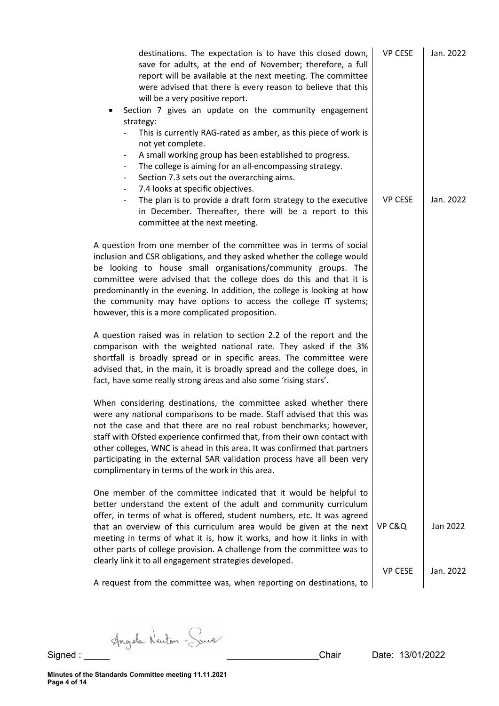| destinations. The expectation is to have this closed down,<br>save for adults, at the end of November; therefore, a full<br>report will be available at the next meeting. The committee<br>were advised that there is every reason to believe that this<br>will be a very positive report.<br>Section 7 gives an update on the community engagement<br>strategy:<br>This is currently RAG-rated as amber, as this piece of work is                                                                        | <b>VP CESE</b> | Jan. 2022             |
|-----------------------------------------------------------------------------------------------------------------------------------------------------------------------------------------------------------------------------------------------------------------------------------------------------------------------------------------------------------------------------------------------------------------------------------------------------------------------------------------------------------|----------------|-----------------------|
| not yet complete.<br>A small working group has been established to progress.<br>$\overline{\phantom{a}}$<br>The college is aiming for an all-encompassing strategy.<br>Section 7.3 sets out the overarching aims.<br>7.4 looks at specific objectives.<br>$\overline{\phantom{a}}$<br>The plan is to provide a draft form strategy to the executive<br>$\overline{\phantom{0}}$<br>in December. Thereafter, there will be a report to this<br>committee at the next meeting.                              | <b>VP CESE</b> | Jan. 2022             |
| A question from one member of the committee was in terms of social<br>inclusion and CSR obligations, and they asked whether the college would<br>be looking to house small organisations/community groups. The<br>committee were advised that the college does do this and that it is<br>predominantly in the evening. In addition, the college is looking at how<br>the community may have options to access the college IT systems;<br>however, this is a more complicated proposition.                 |                |                       |
| A question raised was in relation to section 2.2 of the report and the<br>comparison with the weighted national rate. They asked if the 3%<br>shortfall is broadly spread or in specific areas. The committee were<br>advised that, in the main, it is broadly spread and the college does, in<br>fact, have some really strong areas and also some 'rising stars'.                                                                                                                                       |                |                       |
| When considering destinations, the committee asked whether there<br>were any national comparisons to be made. Staff advised that this was<br>not the case and that there are no real robust benchmarks; however,<br>staff with Ofsted experience confirmed that, from their own contact with<br>other colleges, WNC is ahead in this area. It was confirmed that partners<br>participating in the external SAR validation process have all been very<br>complimentary in terms of the work in this area.  |                |                       |
| One member of the committee indicated that it would be helpful to<br>better understand the extent of the adult and community curriculum<br>offer, in terms of what is offered, student numbers, etc. It was agreed<br>that an overview of this curriculum area would be given at the next<br>meeting in terms of what it is, how it works, and how it links in with<br>other parts of college provision. A challenge from the committee was to<br>clearly link it to all engagement strategies developed. | VP C&Q         | Jan 2022<br>Jan. 2022 |
| A request from the committee was, when reporting on destinations, to                                                                                                                                                                                                                                                                                                                                                                                                                                      | <b>VP CESE</b> |                       |
|                                                                                                                                                                                                                                                                                                                                                                                                                                                                                                           |                |                       |

Signed : Angele Newton - Source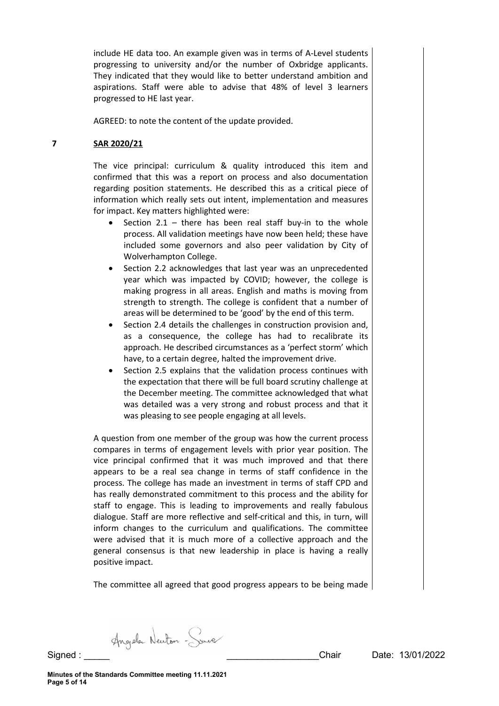include HE data too. An example given was in terms of A-Level students progressing to university and/or the number of Oxbridge applicants. They indicated that they would like to better understand ambition and aspirations. Staff were able to advise that 48% of level 3 learners progressed to HE last year.

AGREED: to note the content of the update provided.

#### **7 SAR 2020/21**

The vice principal: curriculum & quality introduced this item and confirmed that this was a report on process and also documentation regarding position statements. He described this as a critical piece of information which really sets out intent, implementation and measures for impact. Key matters highlighted were:

- Section 2.1 there has been real staff buy-in to the whole process. All validation meetings have now been held; these have included some governors and also peer validation by City of Wolverhampton College.
- Section 2.2 acknowledges that last year was an unprecedented year which was impacted by COVID; however, the college is making progress in all areas. English and maths is moving from strength to strength. The college is confident that a number of areas will be determined to be 'good' by the end of this term.
- Section 2.4 details the challenges in construction provision and, as a consequence, the college has had to recalibrate its approach. He described circumstances as a 'perfect storm' which have, to a certain degree, halted the improvement drive.
- Section 2.5 explains that the validation process continues with the expectation that there will be full board scrutiny challenge at the December meeting. The committee acknowledged that what was detailed was a very strong and robust process and that it was pleasing to see people engaging at all levels.

A question from one member of the group was how the current process compares in terms of engagement levels with prior year position. The vice principal confirmed that it was much improved and that there appears to be a real sea change in terms of staff confidence in the process. The college has made an investment in terms of staff CPD and has really demonstrated commitment to this process and the ability for staff to engage. This is leading to improvements and really fabulous dialogue. Staff are more reflective and self-critical and this, in turn, will inform changes to the curriculum and qualifications. The committee were advised that it is much more of a collective approach and the general consensus is that new leadership in place is having a really positive impact.

The committee all agreed that good progress appears to be being made

Angele Newton - Sure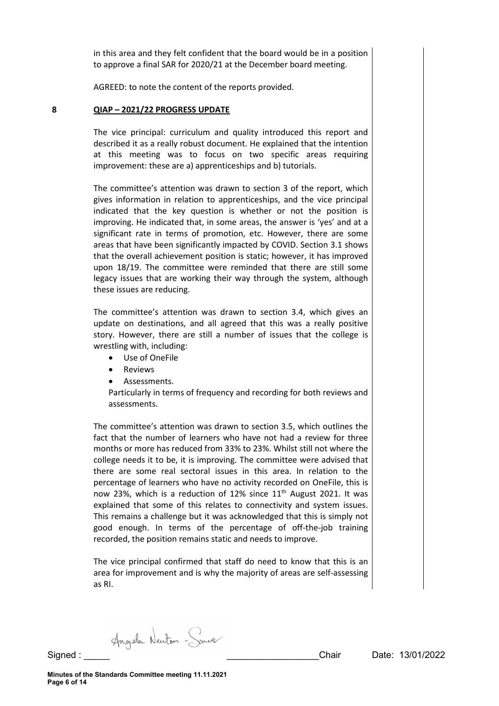in this area and they felt confident that the board would be in a position to approve a final SAR for 2020/21 at the December board meeting.

AGREED: to note the content of the reports provided.

#### **8 QIAP – 2021/22 PROGRESS UPDATE**

The vice principal: curriculum and quality introduced this report and described it as a really robust document. He explained that the intention at this meeting was to focus on two specific areas requiring improvement: these are a) apprenticeships and b) tutorials.

The committee's attention was drawn to section 3 of the report, which gives information in relation to apprenticeships, and the vice principal indicated that the key question is whether or not the position is improving. He indicated that, in some areas, the answer is 'yes' and at a significant rate in terms of promotion, etc. However, there are some areas that have been significantly impacted by COVID. Section 3.1 shows that the overall achievement position is static; however, it has improved upon 18/19. The committee were reminded that there are still some legacy issues that are working their way through the system, although these issues are reducing.

The committee's attention was drawn to section 3.4, which gives an update on destinations, and all agreed that this was a really positive story. However, there are still a number of issues that the college is wrestling with, including:

- Use of OneFile
- **Reviews**
- Assessments.

Particularly in terms of frequency and recording for both reviews and assessments.

The committee's attention was drawn to section 3.5, which outlines the fact that the number of learners who have not had a review for three months or more has reduced from 33% to 23%. Whilst still not where the college needs it to be, it is improving. The committee were advised that there are some real sectoral issues in this area. In relation to the percentage of learners who have no activity recorded on OneFile, this is now 23%, which is a reduction of 12% since  $11<sup>th</sup>$  August 2021. It was explained that some of this relates to connectivity and system issues. This remains a challenge but it was acknowledged that this is simply not good enough. In terms of the percentage of off-the-job training recorded, the position remains static and needs to improve.

The vice principal confirmed that staff do need to know that this is an area for improvement and is why the majority of areas are self-assessing as RI.

Angela Newton - Sourc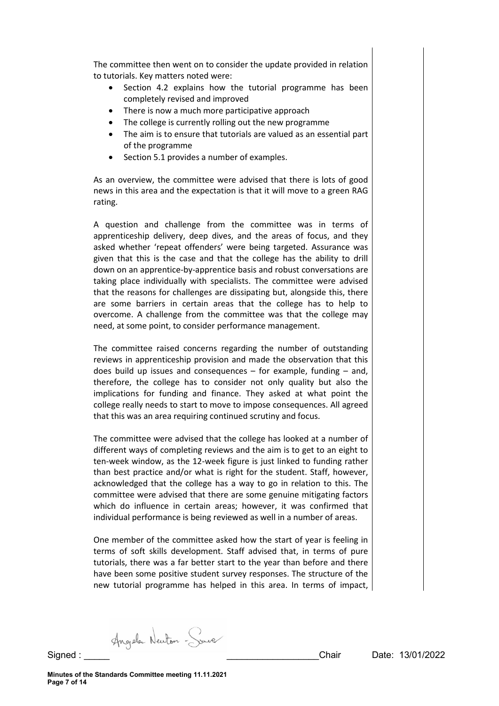The committee then went on to consider the update provided in relation to tutorials. Key matters noted were:

- Section 4.2 explains how the tutorial programme has been completely revised and improved
- There is now a much more participative approach
- The college is currently rolling out the new programme
- The aim is to ensure that tutorials are valued as an essential part of the programme
- Section 5.1 provides a number of examples.

As an overview, the committee were advised that there is lots of good news in this area and the expectation is that it will move to a green RAG rating.

A question and challenge from the committee was in terms of apprenticeship delivery, deep dives, and the areas of focus, and they asked whether 'repeat offenders' were being targeted. Assurance was given that this is the case and that the college has the ability to drill down on an apprentice-by-apprentice basis and robust conversations are taking place individually with specialists. The committee were advised that the reasons for challenges are dissipating but, alongside this, there are some barriers in certain areas that the college has to help to overcome. A challenge from the committee was that the college may need, at some point, to consider performance management.

The committee raised concerns regarding the number of outstanding reviews in apprenticeship provision and made the observation that this does build up issues and consequences – for example, funding – and, therefore, the college has to consider not only quality but also the implications for funding and finance. They asked at what point the college really needs to start to move to impose consequences. All agreed that this was an area requiring continued scrutiny and focus.

The committee were advised that the college has looked at a number of different ways of completing reviews and the aim is to get to an eight to ten-week window, as the 12-week figure is just linked to funding rather than best practice and/or what is right for the student. Staff, however, acknowledged that the college has a way to go in relation to this. The committee were advised that there are some genuine mitigating factors which do influence in certain areas; however, it was confirmed that individual performance is being reviewed as well in a number of areas.

One member of the committee asked how the start of year is feeling in terms of soft skills development. Staff advised that, in terms of pure tutorials, there was a far better start to the year than before and there have been some positive student survey responses. The structure of the new tutorial programme has helped in this area. In terms of impact,

Angela Newton - Sourc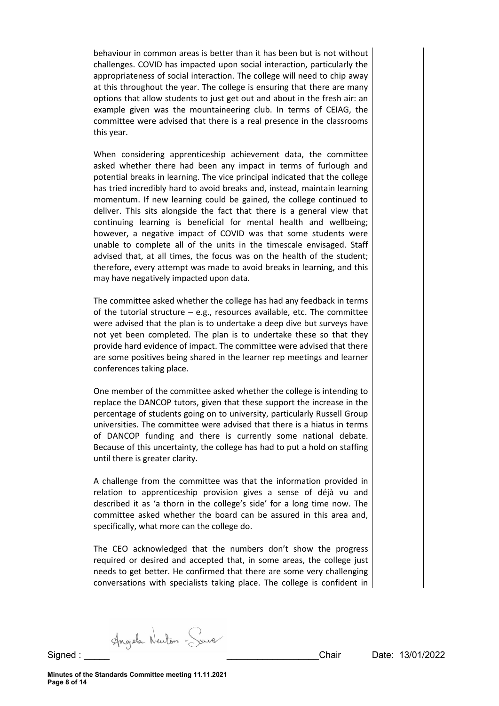behaviour in common areas is better than it has been but is not without challenges. COVID has impacted upon social interaction, particularly the appropriateness of social interaction. The college will need to chip away at this throughout the year. The college is ensuring that there are many options that allow students to just get out and about in the fresh air: an example given was the mountaineering club. In terms of CEIAG, the committee were advised that there is a real presence in the classrooms this year.

When considering apprenticeship achievement data, the committee asked whether there had been any impact in terms of furlough and potential breaks in learning. The vice principal indicated that the college has tried incredibly hard to avoid breaks and, instead, maintain learning momentum. If new learning could be gained, the college continued to deliver. This sits alongside the fact that there is a general view that continuing learning is beneficial for mental health and wellbeing; however, a negative impact of COVID was that some students were unable to complete all of the units in the timescale envisaged. Staff advised that, at all times, the focus was on the health of the student; therefore, every attempt was made to avoid breaks in learning, and this may have negatively impacted upon data.

The committee asked whether the college has had any feedback in terms of the tutorial structure  $-$  e.g., resources available, etc. The committee were advised that the plan is to undertake a deep dive but surveys have not yet been completed. The plan is to undertake these so that they provide hard evidence of impact. The committee were advised that there are some positives being shared in the learner rep meetings and learner conferences taking place.

One member of the committee asked whether the college is intending to replace the DANCOP tutors, given that these support the increase in the percentage of students going on to university, particularly Russell Group universities. The committee were advised that there is a hiatus in terms of DANCOP funding and there is currently some national debate. Because of this uncertainty, the college has had to put a hold on staffing until there is greater clarity.

A challenge from the committee was that the information provided in relation to apprenticeship provision gives a sense of déjà vu and described it as 'a thorn in the college's side' for a long time now. The committee asked whether the board can be assured in this area and, specifically, what more can the college do.

The CEO acknowledged that the numbers don't show the progress required or desired and accepted that, in some areas, the college just needs to get better. He confirmed that there are some very challenging conversations with specialists taking place. The college is confident in

Angela Newton - Sourc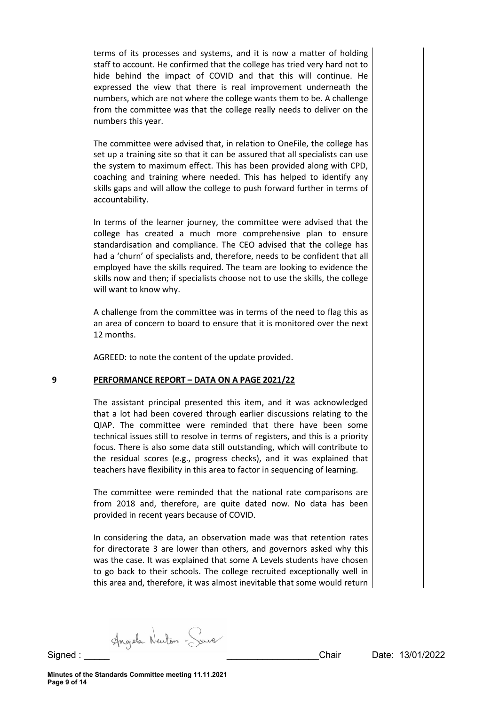terms of its processes and systems, and it is now a matter of holding staff to account. He confirmed that the college has tried very hard not to hide behind the impact of COVID and that this will continue. He expressed the view that there is real improvement underneath the numbers, which are not where the college wants them to be. A challenge from the committee was that the college really needs to deliver on the numbers this year.

The committee were advised that, in relation to OneFile, the college has set up a training site so that it can be assured that all specialists can use the system to maximum effect. This has been provided along with CPD, coaching and training where needed. This has helped to identify any skills gaps and will allow the college to push forward further in terms of accountability.

In terms of the learner journey, the committee were advised that the college has created a much more comprehensive plan to ensure standardisation and compliance. The CEO advised that the college has had a 'churn' of specialists and, therefore, needs to be confident that all employed have the skills required. The team are looking to evidence the skills now and then; if specialists choose not to use the skills, the college will want to know why.

A challenge from the committee was in terms of the need to flag this as an area of concern to board to ensure that it is monitored over the next 12 months.

AGREED: to note the content of the update provided.

# **9 PERFORMANCE REPORT – DATA ON A PAGE 2021/22**

The assistant principal presented this item, and it was acknowledged that a lot had been covered through earlier discussions relating to the QIAP. The committee were reminded that there have been some technical issues still to resolve in terms of registers, and this is a priority focus. There is also some data still outstanding, which will contribute to the residual scores (e.g., progress checks), and it was explained that teachers have flexibility in this area to factor in sequencing of learning.

The committee were reminded that the national rate comparisons are from 2018 and, therefore, are quite dated now. No data has been provided in recent years because of COVID.

In considering the data, an observation made was that retention rates for directorate 3 are lower than others, and governors asked why this was the case. It was explained that some A Levels students have chosen to go back to their schools. The college recruited exceptionally well in this area and, therefore, it was almost inevitable that some would return

Angele Newton - Save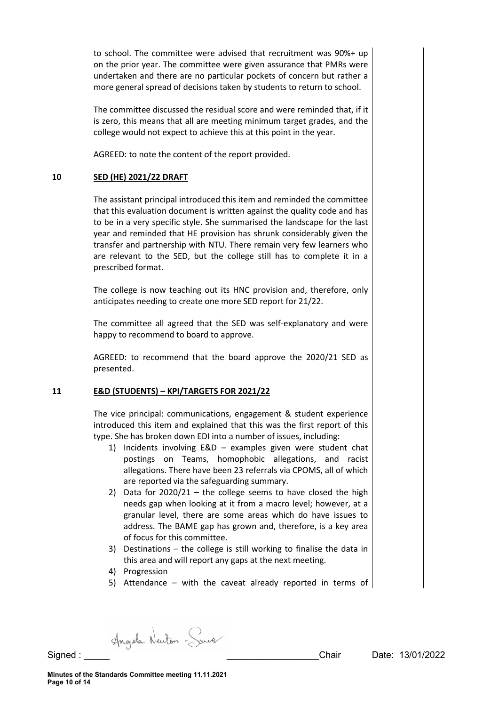to school. The committee were advised that recruitment was 90%+ up on the prior year. The committee were given assurance that PMRs were undertaken and there are no particular pockets of concern but rather a more general spread of decisions taken by students to return to school.

The committee discussed the residual score and were reminded that, if it is zero, this means that all are meeting minimum target grades, and the college would not expect to achieve this at this point in the year.

AGREED: to note the content of the report provided.

# **10 SED (HE) 2021/22 DRAFT**

The assistant principal introduced this item and reminded the committee that this evaluation document is written against the quality code and has to be in a very specific style. She summarised the landscape for the last year and reminded that HE provision has shrunk considerably given the transfer and partnership with NTU. There remain very few learners who are relevant to the SED, but the college still has to complete it in a prescribed format.

The college is now teaching out its HNC provision and, therefore, only anticipates needing to create one more SED report for 21/22.

The committee all agreed that the SED was self-explanatory and were happy to recommend to board to approve.

AGREED: to recommend that the board approve the 2020/21 SED as presented.

# **11 E&D (STUDENTS) – KPI/TARGETS FOR 2021/22**

The vice principal: communications, engagement & student experience introduced this item and explained that this was the first report of this type. She has broken down EDI into a number of issues, including:

- 1) Incidents involving E&D examples given were student chat postings on Teams, homophobic allegations, and racist allegations. There have been 23 referrals via CPOMS, all of which are reported via the safeguarding summary.
- 2) Data for  $2020/21$  the college seems to have closed the high needs gap when looking at it from a macro level; however, at a granular level, there are some areas which do have issues to address. The BAME gap has grown and, therefore, is a key area of focus for this committee.
- 3) Destinations the college is still working to finalise the data in this area and will report any gaps at the next meeting.
- 4) Progression
- 5) Attendance with the caveat already reported in terms of

Angele Newton - Sure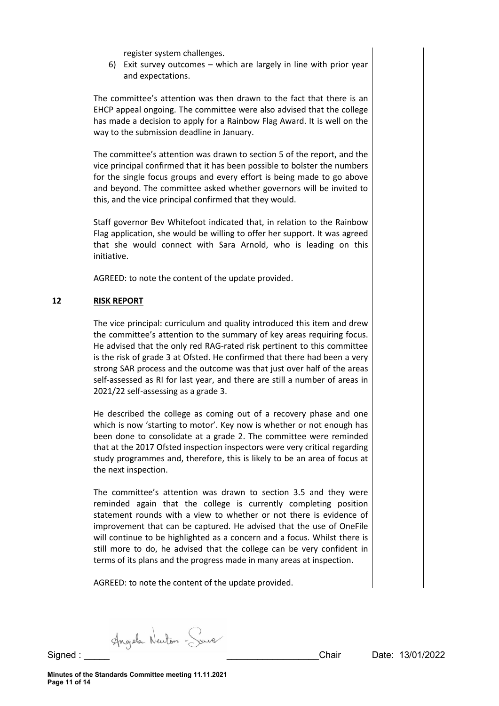register system challenges.

6) Exit survey outcomes – which are largely in line with prior year and expectations.

The committee's attention was then drawn to the fact that there is an EHCP appeal ongoing. The committee were also advised that the college has made a decision to apply for a Rainbow Flag Award. It is well on the way to the submission deadline in January.

The committee's attention was drawn to section 5 of the report, and the vice principal confirmed that it has been possible to bolster the numbers for the single focus groups and every effort is being made to go above and beyond. The committee asked whether governors will be invited to this, and the vice principal confirmed that they would.

Staff governor Bev Whitefoot indicated that, in relation to the Rainbow Flag application, she would be willing to offer her support. It was agreed that she would connect with Sara Arnold, who is leading on this initiative.

AGREED: to note the content of the update provided.

# **12 RISK REPORT**

The vice principal: curriculum and quality introduced this item and drew the committee's attention to the summary of key areas requiring focus. He advised that the only red RAG-rated risk pertinent to this committee is the risk of grade 3 at Ofsted. He confirmed that there had been a very strong SAR process and the outcome was that just over half of the areas self-assessed as RI for last year, and there are still a number of areas in 2021/22 self-assessing as a grade 3.

He described the college as coming out of a recovery phase and one which is now 'starting to motor'. Key now is whether or not enough has been done to consolidate at a grade 2. The committee were reminded that at the 2017 Ofsted inspection inspectors were very critical regarding study programmes and, therefore, this is likely to be an area of focus at the next inspection.

The committee's attention was drawn to section 3.5 and they were reminded again that the college is currently completing position statement rounds with a view to whether or not there is evidence of improvement that can be captured. He advised that the use of OneFile will continue to be highlighted as a concern and a focus. Whilst there is still more to do, he advised that the college can be very confident in terms of its plans and the progress made in many areas at inspection.

AGREED: to note the content of the update provided.

Angele Newton - Sourc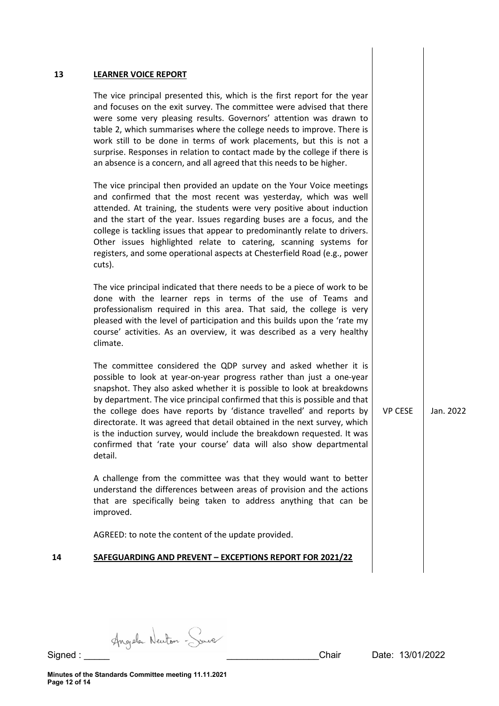#### **13 LEARNER VOICE REPORT**

The vice principal presented this, which is the first report for the year and focuses on the exit survey. The committee were advised that there were some very pleasing results. Governors' attention was drawn to table 2, which summarises where the college needs to improve. There is work still to be done in terms of work placements, but this is not a surprise. Responses in relation to contact made by the college if there is an absence is a concern, and all agreed that this needs to be higher.

The vice principal then provided an update on the Your Voice meetings and confirmed that the most recent was yesterday, which was well attended. At training, the students were very positive about induction and the start of the year. Issues regarding buses are a focus, and the college is tackling issues that appear to predominantly relate to drivers. Other issues highlighted relate to catering, scanning systems for registers, and some operational aspects at Chesterfield Road (e.g., power cuts).

The vice principal indicated that there needs to be a piece of work to be done with the learner reps in terms of the use of Teams and professionalism required in this area. That said, the college is very pleased with the level of participation and this builds upon the 'rate my course' activities. As an overview, it was described as a very healthy climate.

The committee considered the QDP survey and asked whether it is possible to look at year-on-year progress rather than just a one-year snapshot. They also asked whether it is possible to look at breakdowns by department. The vice principal confirmed that this is possible and that the college does have reports by 'distance travelled' and reports by directorate. It was agreed that detail obtained in the next survey, which is the induction survey, would include the breakdown requested. It was confirmed that 'rate your course' data will also show departmental detail.

A challenge from the committee was that they would want to better understand the differences between areas of provision and the actions that are specifically being taken to address anything that can be improved.

AGREED: to note the content of the update provided.

#### **14 SAFEGUARDING AND PREVENT – EXCEPTIONS REPORT FOR 2021/22**

VP CESE  $\parallel$  Jan. 2022

Angele Newton - Sure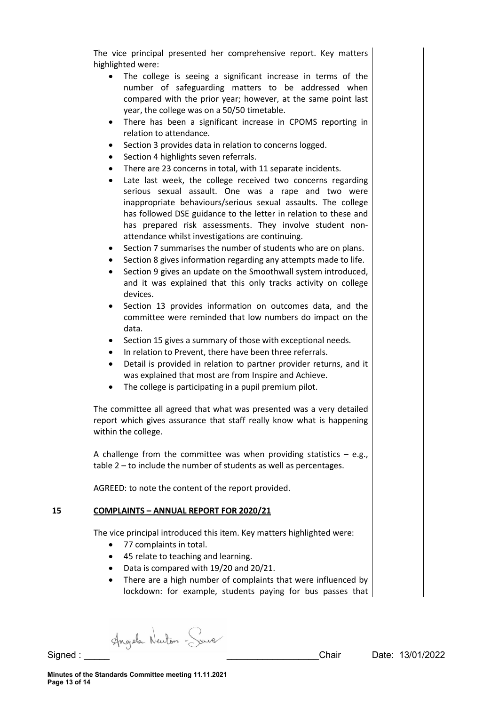The vice principal presented her comprehensive report. Key matters highlighted were:

- The college is seeing a significant increase in terms of the number of safeguarding matters to be addressed when compared with the prior year; however, at the same point last year, the college was on a 50/50 timetable.
- There has been a significant increase in CPOMS reporting in relation to attendance.
- Section 3 provides data in relation to concerns logged.
- Section 4 highlights seven referrals.
- There are 23 concerns in total, with 11 separate incidents.
- Late last week, the college received two concerns regarding serious sexual assault. One was a rape and two were inappropriate behaviours/serious sexual assaults. The college has followed DSE guidance to the letter in relation to these and has prepared risk assessments. They involve student nonattendance whilst investigations are continuing.
- Section 7 summarises the number of students who are on plans.
- Section 8 gives information regarding any attempts made to life.
- Section 9 gives an update on the Smoothwall system introduced, and it was explained that this only tracks activity on college devices.
- Section 13 provides information on outcomes data, and the committee were reminded that low numbers do impact on the data.
- Section 15 gives a summary of those with exceptional needs.
- In relation to Prevent, there have been three referrals.
- Detail is provided in relation to partner provider returns, and it was explained that most are from Inspire and Achieve.
- The college is participating in a pupil premium pilot.

The committee all agreed that what was presented was a very detailed report which gives assurance that staff really know what is happening within the college.

A challenge from the committee was when providing statistics  $-$  e.g., table 2 – to include the number of students as well as percentages.

AGREED: to note the content of the report provided.

# **15 COMPLAINTS – ANNUAL REPORT FOR 2020/21**

The vice principal introduced this item. Key matters highlighted were:

- 77 complaints in total.
- 45 relate to teaching and learning.
- Data is compared with 19/20 and 20/21.
- There are a high number of complaints that were influenced by lockdown: for example, students paying for bus passes that

Angela Newton - Sourc